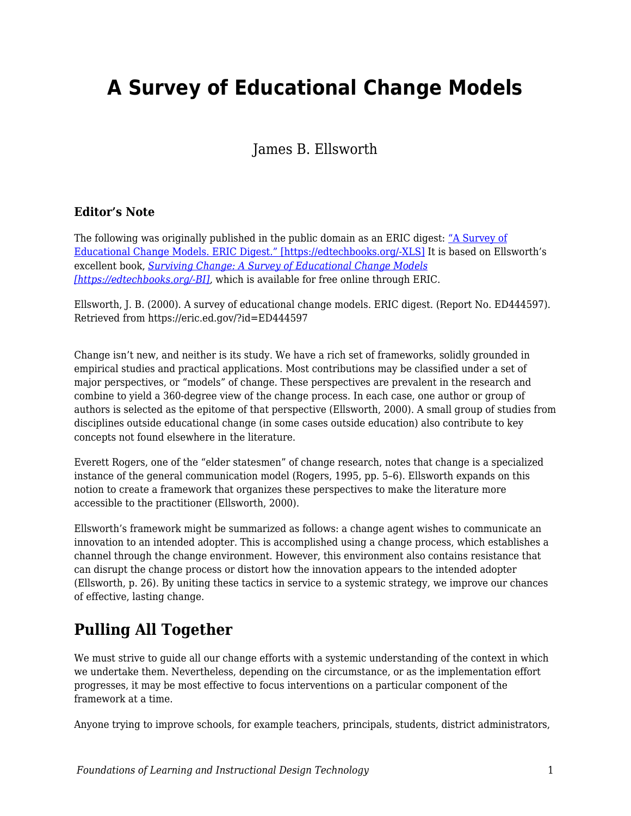# **A Survey of Educational Change Models**

James B. Ellsworth

#### **Editor's Note**

The following was originally published in the public domain as an ERIC digest: ["A Survey of](http://eric.ed.gov/?id=ED444597) [Educational Change Models. ERIC Digest." \[https://edtechbooks.org/-XLS\]](http://eric.ed.gov/?id=ED444597) It is based on Ellsworth's excellent book, *[Surviving Change: A Survey of Educational Change Models](https://eric.ed.gov/?id=ED443417) [\[https://edtechbooks.org/-BI\],](https://eric.ed.gov/?id=ED443417)* which is available for free online through ERIC.

Ellsworth, J. B. (2000). A survey of educational change models. ERIC digest. (Report No. ED444597). Retrieved from https://eric.ed.gov/?id=ED444597

Change isn't new, and neither is its study. We have a rich set of frameworks, solidly grounded in empirical studies and practical applications. Most contributions may be classified under a set of major perspectives, or "models" of change. These perspectives are prevalent in the research and combine to yield a 360-degree view of the change process. In each case, one author or group of authors is selected as the epitome of that perspective (Ellsworth, 2000). A small group of studies from disciplines outside educational change (in some cases outside education) also contribute to key concepts not found elsewhere in the literature.

Everett Rogers, one of the "elder statesmen" of change research, notes that change is a specialized instance of the general communication model (Rogers, 1995, pp. 5–6). Ellsworth expands on this notion to create a framework that organizes these perspectives to make the literature more accessible to the practitioner (Ellsworth, 2000).

Ellsworth's framework might be summarized as follows: a change agent wishes to communicate an innovation to an intended adopter. This is accomplished using a change process, which establishes a channel through the change environment. However, this environment also contains resistance that can disrupt the change process or distort how the innovation appears to the intended adopter (Ellsworth, p. 26). By uniting these tactics in service to a systemic strategy, we improve our chances of effective, lasting change.

#### **Pulling All Together**

We must strive to guide all our change efforts with a systemic understanding of the context in which we undertake them. Nevertheless, depending on the circumstance, or as the implementation effort progresses, it may be most effective to focus interventions on a particular component of the framework at a time.

Anyone trying to improve schools, for example teachers, principals, students, district administrators,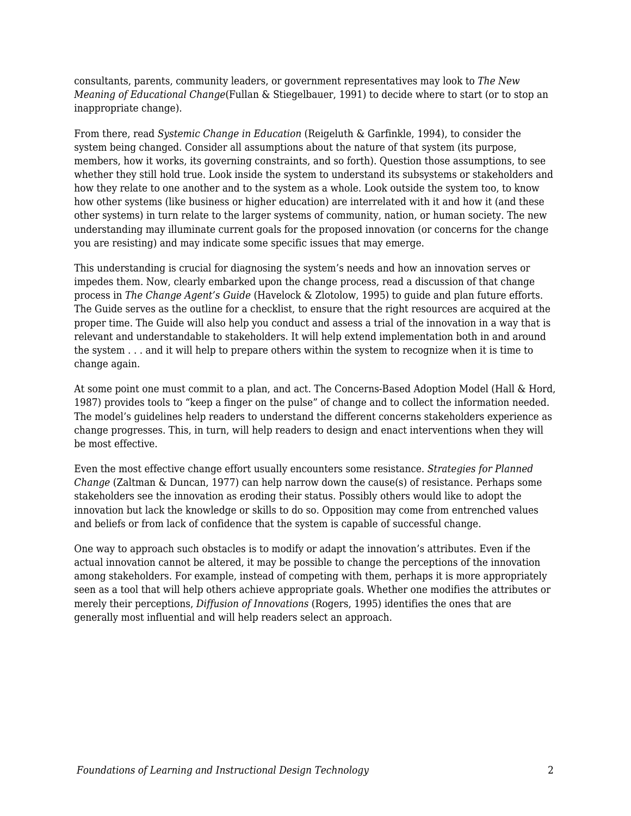consultants, parents, community leaders, or government representatives may look to *The New Meaning of Educational Change*(Fullan & Stiegelbauer, 1991) to decide where to start (or to stop an inappropriate change).

From there, read *Systemic Change in Education* (Reigeluth & Garfinkle, 1994), to consider the system being changed. Consider all assumptions about the nature of that system (its purpose, members, how it works, its governing constraints, and so forth). Question those assumptions, to see whether they still hold true. Look inside the system to understand its subsystems or stakeholders and how they relate to one another and to the system as a whole. Look outside the system too, to know how other systems (like business or higher education) are interrelated with it and how it (and these other systems) in turn relate to the larger systems of community, nation, or human society. The new understanding may illuminate current goals for the proposed innovation (or concerns for the change you are resisting) and may indicate some specific issues that may emerge.

This understanding is crucial for diagnosing the system's needs and how an innovation serves or impedes them. Now, clearly embarked upon the change process, read a discussion of that change process in *The Change Agent's Guide* (Havelock & Zlotolow, 1995) to guide and plan future efforts. The Guide serves as the outline for a checklist, to ensure that the right resources are acquired at the proper time. The Guide will also help you conduct and assess a trial of the innovation in a way that is relevant and understandable to stakeholders. It will help extend implementation both in and around the system . . . and it will help to prepare others within the system to recognize when it is time to change again.

At some point one must commit to a plan, and act. The Concerns-Based Adoption Model (Hall & Hord, 1987) provides tools to "keep a finger on the pulse" of change and to collect the information needed. The model's guidelines help readers to understand the different concerns stakeholders experience as change progresses. This, in turn, will help readers to design and enact interventions when they will be most effective.

Even the most effective change effort usually encounters some resistance. *Strategies for Planned Change* (Zaltman & Duncan, 1977) can help narrow down the cause(s) of resistance. Perhaps some stakeholders see the innovation as eroding their status. Possibly others would like to adopt the innovation but lack the knowledge or skills to do so. Opposition may come from entrenched values and beliefs or from lack of confidence that the system is capable of successful change.

One way to approach such obstacles is to modify or adapt the innovation's attributes. Even if the actual innovation cannot be altered, it may be possible to change the perceptions of the innovation among stakeholders. For example, instead of competing with them, perhaps it is more appropriately seen as a tool that will help others achieve appropriate goals. Whether one modifies the attributes or merely their perceptions, *Diffusion of Innovations* (Rogers, 1995) identifies the ones that are generally most influential and will help readers select an approach.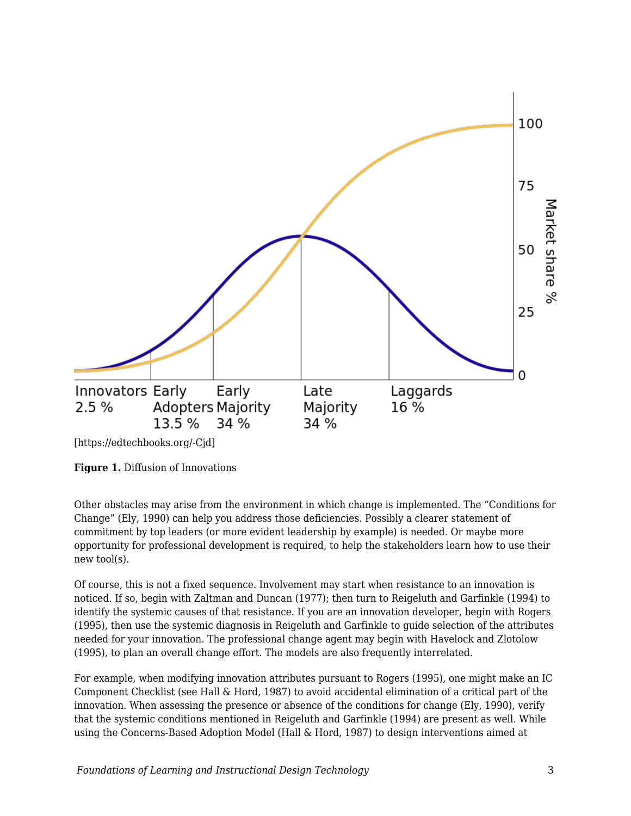

[https://edtechbooks.org/-Cjd]

**Figure 1.** Diffusion of Innovations

Other obstacles may arise from the environment in which change is implemented. The "Conditions for Change" (Ely, 1990) can help you address those deficiencies. Possibly a clearer statement of commitment by top leaders (or more evident leadership by example) is needed. Or maybe more opportunity for professional development is required, to help the stakeholders learn how to use their new tool(s).

Of course, this is not a fixed sequence. Involvement may start when resistance to an innovation is noticed. If so, begin with Zaltman and Duncan (1977); then turn to Reigeluth and Garfinkle (1994) to identify the systemic causes of that resistance. If you are an innovation developer, begin with Rogers (1995), then use the systemic diagnosis in Reigeluth and Garfinkle to guide selection of the attributes needed for your innovation. The professional change agent may begin with Havelock and Zlotolow (1995), to plan an overall change effort. The models are also frequently interrelated.

For example, when modifying innovation attributes pursuant to Rogers (1995), one might make an IC Component Checklist (see Hall & Hord, 1987) to avoid accidental elimination of a critical part of the innovation. When assessing the presence or absence of the conditions for change (Ely, 1990), verify that the systemic conditions mentioned in Reigeluth and Garfinkle (1994) are present as well. While using the Concerns-Based Adoption Model (Hall & Hord, 1987) to design interventions aimed at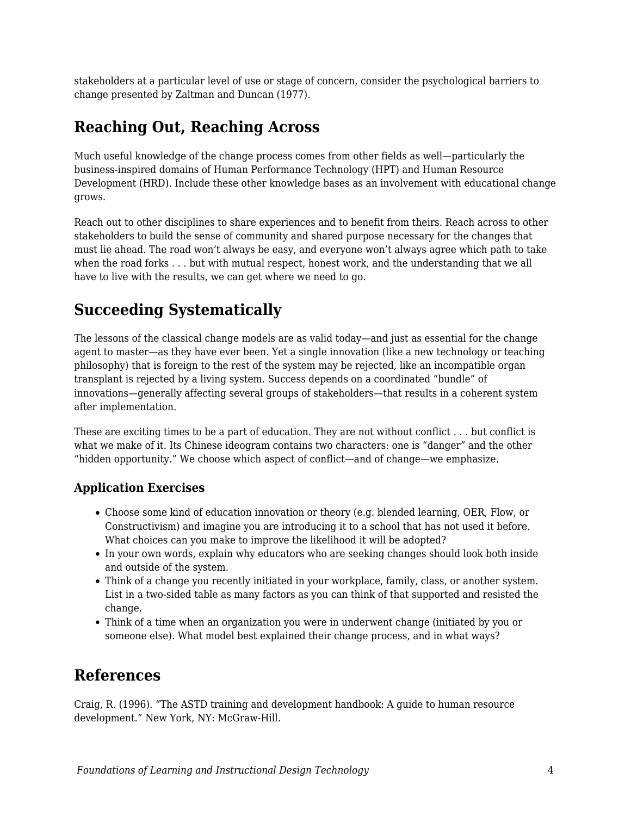stakeholders at a particular level of use or stage of concern, consider the psychological barriers to change presented by Zaltman and Duncan (1977).

## **Reaching Out, Reaching Across**

Much useful knowledge of the change process comes from other fields as well—particularly the business-inspired domains of Human Performance Technology (HPT) and Human Resource Development (HRD). Include these other knowledge bases as an involvement with educational change grows.

Reach out to other disciplines to share experiences and to benefit from theirs. Reach across to other stakeholders to build the sense of community and shared purpose necessary for the changes that must lie ahead. The road won't always be easy, and everyone won't always agree which path to take when the road forks . . . but with mutual respect, honest work, and the understanding that we all have to live with the results, we can get where we need to go.

## **Succeeding Systematically**

The lessons of the classical change models are as valid today—and just as essential for the change agent to master—as they have ever been. Yet a single innovation (like a new technology or teaching philosophy) that is foreign to the rest of the system may be rejected, like an incompatible organ transplant is rejected by a living system. Success depends on a coordinated "bundle" of innovations—generally affecting several groups of stakeholders—that results in a coherent system after implementation.

These are exciting times to be a part of education. They are not without conflict . . . but conflict is what we make of it. Its Chinese ideogram contains two characters: one is "danger" and the other "hidden opportunity." We choose which aspect of conflict—and of change—we emphasize.

#### **Application Exercises**

- Choose some kind of education innovation or theory (e.g. blended learning, OER, Flow, or Constructivism) and imagine you are introducing it to a school that has not used it before. What choices can you make to improve the likelihood it will be adopted?
- In your own words, explain why educators who are seeking changes should look both inside and outside of the system.
- Think of a change you recently initiated in your workplace, family, class, or another system. List in a two-sided table as many factors as you can think of that supported and resisted the change.
- Think of a time when an organization you were in underwent change (initiated by you or someone else). What model best explained their change process, and in what ways?

## **References**

Craig, R. (1996). "The ASTD training and development handbook: A guide to human resource development." New York, NY: McGraw-Hill.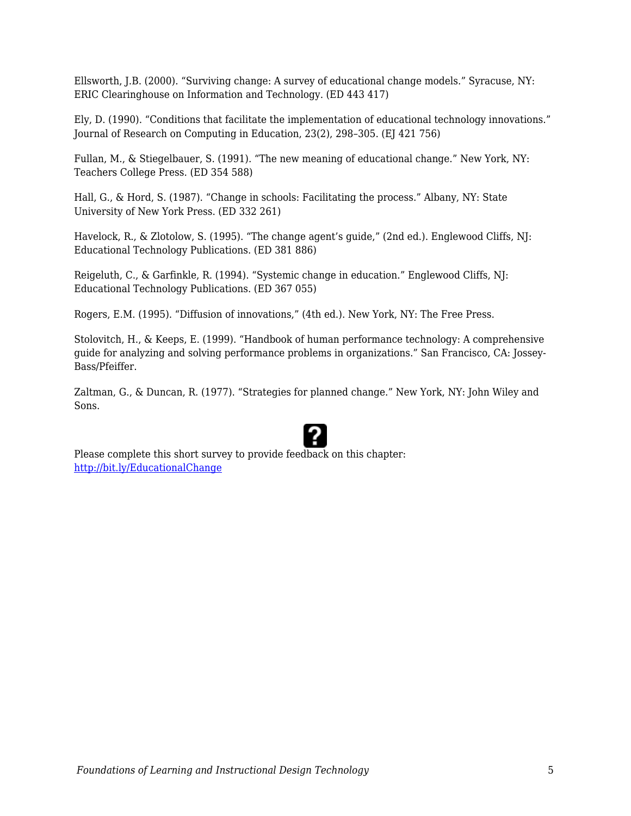Ellsworth, J.B. (2000). "Surviving change: A survey of educational change models." Syracuse, NY: ERIC Clearinghouse on Information and Technology. (ED 443 417)

Ely, D. (1990). "Conditions that facilitate the implementation of educational technology innovations." Journal of Research on Computing in Education, 23(2), 298–305. (EJ 421 756)

Fullan, M., & Stiegelbauer, S. (1991). "The new meaning of educational change." New York, NY: Teachers College Press. (ED 354 588)

Hall, G., & Hord, S. (1987). "Change in schools: Facilitating the process." Albany, NY: State University of New York Press. (ED 332 261)

Havelock, R., & Zlotolow, S. (1995). "The change agent's guide," (2nd ed.). Englewood Cliffs, NJ: Educational Technology Publications. (ED 381 886)

Reigeluth, C., & Garfinkle, R. (1994). "Systemic change in education." Englewood Cliffs, NJ: Educational Technology Publications. (ED 367 055)

Rogers, E.M. (1995). "Diffusion of innovations," (4th ed.). New York, NY: The Free Press.

Stolovitch, H., & Keeps, E. (1999). "Handbook of human performance technology: A comprehensive guide for analyzing and solving performance problems in organizations." San Francisco, CA: Jossey-Bass/Pfeiffer.

Zaltman, G., & Duncan, R. (1977). "Strategies for planned change." New York, NY: John Wiley and Sons.

Please complete this short survey to provide feedback on this chapter: <http://bit.ly/EducationalChange>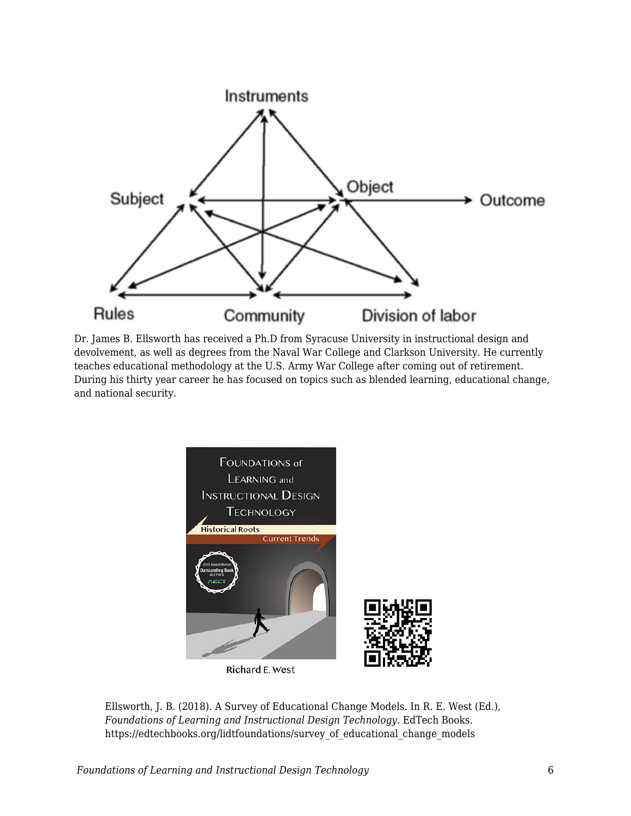

Dr. James B. Ellsworth has received a Ph.D from Syracuse University in instructional design and devolvement, as well as degrees from the Naval War College and Clarkson University. He currently teaches educational methodology at the U.S. Army War College after coming out of retirement. During his thirty year career he has focused on topics such as blended learning, educational change, and national security.



Ellsworth, J. B. (2018). A Survey of Educational Change Models. In R. E. West (Ed.), *Foundations of Learning and Instructional Design Technology*. EdTech Books. https://edtechbooks.org/lidtfoundations/survey\_of\_educational\_change\_models